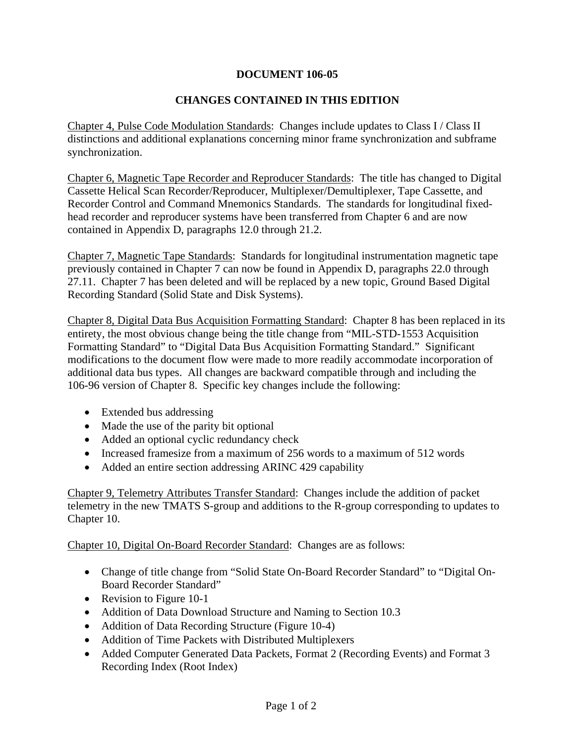## **DOCUMENT 106-05**

## **CHANGES CONTAINED IN THIS EDITION**

Chapter 4, Pulse Code Modulation Standards: Changes include updates to Class I / Class II distinctions and additional explanations concerning minor frame synchronization and subframe synchronization.

Chapter 6, Magnetic Tape Recorder and Reproducer Standards: The title has changed to Digital Cassette Helical Scan Recorder/Reproducer, Multiplexer/Demultiplexer, Tape Cassette, and Recorder Control and Command Mnemonics Standards. The standards for longitudinal fixedhead recorder and reproducer systems have been transferred from Chapter 6 and are now contained in Appendix D, paragraphs 12.0 through 21.2.

Chapter 7, Magnetic Tape Standards: Standards for longitudinal instrumentation magnetic tape previously contained in Chapter 7 can now be found in Appendix D, paragraphs 22.0 through 27.11. Chapter 7 has been deleted and will be replaced by a new topic, Ground Based Digital Recording Standard (Solid State and Disk Systems).

Chapter 8, Digital Data Bus Acquisition Formatting Standard: Chapter 8 has been replaced in its entirety, the most obvious change being the title change from "MIL-STD-1553 Acquisition Formatting Standard" to "Digital Data Bus Acquisition Formatting Standard." Significant modifications to the document flow were made to more readily accommodate incorporation of additional data bus types. All changes are backward compatible through and including the 106-96 version of Chapter 8. Specific key changes include the following:

- Extended bus addressing
- Made the use of the parity bit optional
- Added an optional cyclic redundancy check
- Increased framesize from a maximum of 256 words to a maximum of 512 words
- Added an entire section addressing ARINC 429 capability

Chapter 9, Telemetry Attributes Transfer Standard: Changes include the addition of packet telemetry in the new TMATS S-group and additions to the R-group corresponding to updates to Chapter 10.

Chapter 10, Digital On-Board Recorder Standard: Changes are as follows:

- Change of title change from "Solid State On-Board Recorder Standard" to "Digital On-Board Recorder Standard"
- Revision to Figure 10-1
- Addition of Data Download Structure and Naming to Section 10.3
- Addition of Data Recording Structure (Figure 10-4)
- Addition of Time Packets with Distributed Multiplexers
- Added Computer Generated Data Packets, Format 2 (Recording Events) and Format 3 Recording Index (Root Index)